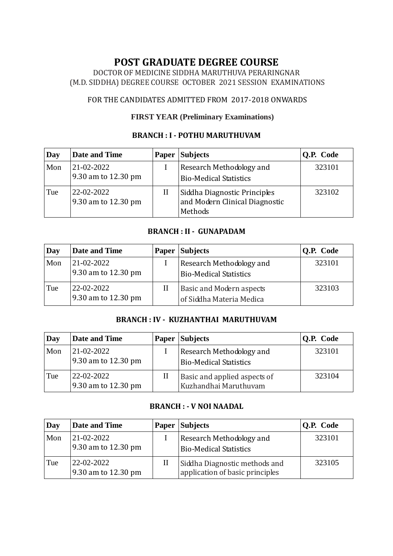# **POST GRADUATE DEGREE COURSE**

DOCTOR OF MEDICINE SIDDHA MARUTHUVA PERARINGNAR (M.D. SIDDHA) DEGREE COURSE OCTOBER 2021 SESSION EXAMINATIONS

# FOR THE CANDIDATES ADMITTED FROM 2017-2018 ONWARDS

### **FIRST YEAR (Preliminary Examinations)**

## **BRANCH : I - POTHU MARUTHUVAM**

| Day | Date and Time                     | Paper | <b>Subjects</b>                                                           | Q.P. Code |
|-----|-----------------------------------|-------|---------------------------------------------------------------------------|-----------|
| Mon | 21-02-2022<br>9.30 am to 12.30 pm |       | Research Methodology and<br><b>Bio-Medical Statistics</b>                 | 323101    |
| Tue | 22-02-2022<br>9.30 am to 12.30 pm | П     | Siddha Diagnostic Principles<br>and Modern Clinical Diagnostic<br>Methods | 323102    |

### **BRANCH : II - GUNAPADAM**

| Day | <b>Date and Time</b>              | <b>Paper</b> | <b>Subjects</b>                                             | O.P. Code |
|-----|-----------------------------------|--------------|-------------------------------------------------------------|-----------|
| Mon | 21-02-2022<br>9.30 am to 12.30 pm |              | Research Methodology and<br><b>Bio-Medical Statistics</b>   | 323101    |
| Tue | 22-02-2022<br>9.30 am to 12.30 pm | Н            | <b>Basic and Modern aspects</b><br>of Siddha Materia Medica | 323103    |

#### **BRANCH : IV - KUZHANTHAI MARUTHUVAM**

| Day | Date and Time                     | Paper | <b>Subjects</b>                                           | <b>Q.P. Code</b> |
|-----|-----------------------------------|-------|-----------------------------------------------------------|------------------|
| Mon | 21-02-2022<br>9.30 am to 12.30 pm |       | Research Methodology and<br><b>Bio-Medical Statistics</b> | 323101           |
| Tue | 22-02-2022<br>9.30 am to 12.30 pm | П     | Basic and applied aspects of<br>Kuzhandhai Maruthuvam     | 323104           |

#### **BRANCH : - V NOI NAADAL**

| Day | <b>Date and Time</b>              |   | <b>Paper Subjects</b>                                            | Q.P. Code |
|-----|-----------------------------------|---|------------------------------------------------------------------|-----------|
| Mon | 21-02-2022<br>9.30 am to 12.30 pm |   | Research Methodology and<br><b>Bio-Medical Statistics</b>        | 323101    |
| Tue | 22-02-2022<br>9.30 am to 12.30 pm | П | Siddha Diagnostic methods and<br>application of basic principles | 323105    |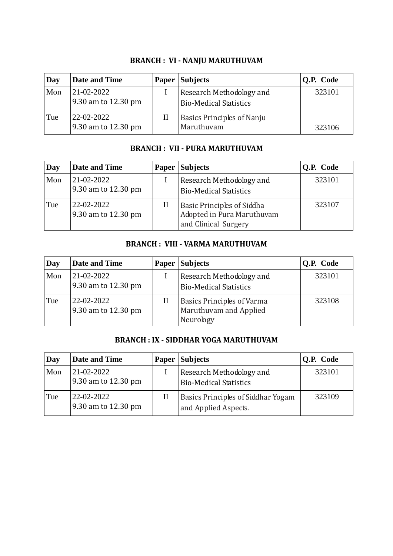| Day | Date and Time                     |   | <b>Paper Subjects</b>                                     | Q.P. Code |
|-----|-----------------------------------|---|-----------------------------------------------------------|-----------|
| Mon | 21-02-2022<br>9.30 am to 12.30 pm |   | Research Methodology and<br><b>Bio-Medical Statistics</b> | 323101    |
| Tue | 22-02-2022<br>9.30 am to 12.30 pm | Н | <b>Basics Principles of Nanju</b><br>Maruthuvam           | 323106    |

# **BRANCH : VI - NANJU MARUTHUVAM**

# **BRANCH : VII - PURA MARUTHUVAM**

| Day | Date and Time                     | Paper | Subjects                                                                                | Q.P. Code |
|-----|-----------------------------------|-------|-----------------------------------------------------------------------------------------|-----------|
| Mon | 21-02-2022<br>9.30 am to 12.30 pm |       | Research Methodology and<br><b>Bio-Medical Statistics</b>                               | 323101    |
| Tue | 22-02-2022<br>9.30 am to 12.30 pm | П     | <b>Basic Principles of Siddha</b><br>Adopted in Pura Maruthuvam<br>and Clinical Surgery | 323107    |

## **BRANCH : VIII - VARMA MARUTHUVAM**

| Day | Date and Time                     | Paper | <b>Subjects</b>                                                          | Q.P. Code |
|-----|-----------------------------------|-------|--------------------------------------------------------------------------|-----------|
| Mon | 21-02-2022<br>9.30 am to 12.30 pm |       | Research Methodology and<br><b>Bio-Medical Statistics</b>                | 323101    |
| Tue | 22-02-2022<br>9.30 am to 12.30 pm | П     | <b>Basics Principles of Varma</b><br>Maruthuvam and Applied<br>Neurology | 323108    |

#### **BRANCH : IX - SIDDHAR YOGA MARUTHUVAM**

| Day | <b>Date and Time</b>              |   | <b>Paper Subjects</b>                                      | Q.P. Code |
|-----|-----------------------------------|---|------------------------------------------------------------|-----------|
| Mon | 21-02-2022<br>9.30 am to 12.30 pm |   | Research Methodology and<br><b>Bio-Medical Statistics</b>  | 323101    |
| Tue | 22-02-2022<br>9.30 am to 12.30 pm | Н | Basics Principles of Siddhar Yogam<br>and Applied Aspects. | 323109    |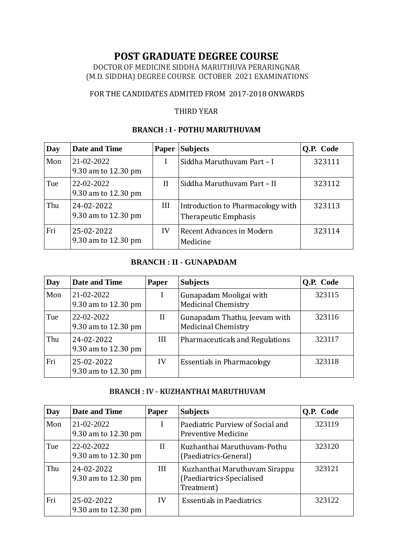# **POST GRADUATE DEGREE COURSE**

DOCTOR OF MEDICINE SIDDHA MARUTHUVA PERARINGNAR (M.D. SIDDHA) DEGREE COURSE OCTOBER 2021 EXAMINATIONS

#### FOR THE CANDIDATES ADMITED FROM 2017-2018 ONWARDS

#### THIRD YEAR

#### **BRANCH : I - POTHU MARUTHUVAM**

| Day | Date and Time                     | <b>Paper</b> | <b>Subjects</b>                                           | Q.P. Code |
|-----|-----------------------------------|--------------|-----------------------------------------------------------|-----------|
| Mon | 21-02-2022<br>9.30 am to 12.30 pm |              | Siddha Maruthuvam Part - I                                | 323111    |
| Tue | 22-02-2022<br>9.30 am to 12.30 pm | $\rm II$     | Siddha Maruthuvam Part - II                               | 323112    |
| Thu | 24-02-2022<br>9.30 am to 12.30 pm | III          | Introduction to Pharmacology with<br>Therapeutic Emphasis | 323113    |
| Fri | 25-02-2022<br>9.30 am to 12.30 pm | IV           | Recent Advances in Modern<br>Medicine                     | 323114    |

#### **BRANCH : II - GUNAPADAM**

| Day | <b>Date and Time</b>              | <b>Paper</b> | <b>Subjects</b>                                             | <b>O.P.</b> Code |
|-----|-----------------------------------|--------------|-------------------------------------------------------------|------------------|
| Mon | 21-02-2022<br>9.30 am to 12.30 pm | I            | Gunapadam Mooligai with<br><b>Medicinal Chemistry</b>       | 323115           |
| Tue | 22-02-2022<br>9.30 am to 12.30 pm | $\rm II$     | Gunapadam Thathu, Jeevam with<br><b>Medicinal Chemistry</b> | 323116           |
| Thu | 24-02-2022<br>9.30 am to 12.30 pm | Ш            | <b>Pharmaceuticals and Regulations</b>                      | 323117           |
| Fri | 25-02-2022<br>9.30 am to 12.30 pm | IV           | <b>Essentials in Pharmacology</b>                           | 323118           |

#### **BRANCH : IV - KUZHANTHAI MARUTHUVAM**

| Day | Date and Time                     | Paper        | <b>Subjects</b>                                                          | <b>O.P.</b> Code |
|-----|-----------------------------------|--------------|--------------------------------------------------------------------------|------------------|
| Mon | 21-02-2022<br>9.30 am to 12.30 pm | I            | Paediatric Purview of Social and<br>Preventive Medicine                  | 323119           |
| Tue | 22-02-2022<br>9.30 am to 12.30 pm | $\mathbf{H}$ | Kuzhanthai Maruthuvam-Pothu<br>(Paediatrics-General)                     | 323120           |
| Thu | 24-02-2022<br>9.30 am to 12.30 pm | Ш            | Kuzhanthai Maruthuvam Sirappu<br>(Paediartrics-Specialised<br>Treatment) | 323121           |
| Fri | 25-02-2022<br>9.30 am to 12.30 pm | IV           | <b>Essentials in Paediatrics</b>                                         | 323122           |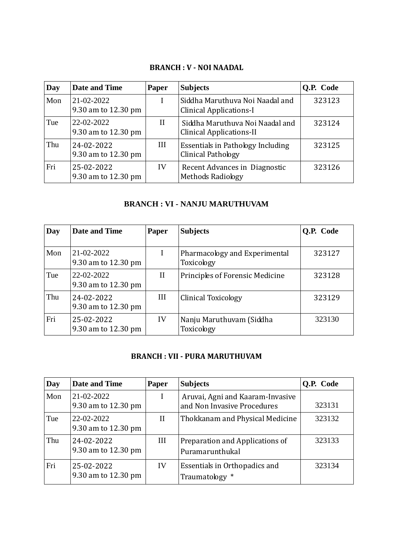#### **BRANCH : V - NOI NAADAL**

| Day | <b>Date and Time</b>              | Paper    | <b>Subjects</b>                                                   | <b>O.P.</b> Code |
|-----|-----------------------------------|----------|-------------------------------------------------------------------|------------------|
| Mon | 21-02-2022<br>9.30 am to 12.30 pm |          | Siddha Maruthuva Noi Naadal and<br><b>Clinical Applications-I</b> | 323123           |
| Tue | 22-02-2022<br>9.30 am to 12.30 pm | $\rm II$ | Siddha Maruthuva Noi Naadal and<br>Clinical Applications-II       | 323124           |
| Thu | 24-02-2022<br>9.30 am to 12.30 pm | Ш        | <b>Essentials in Pathology Including</b><br>Clinical Pathology    | 323125           |
| Fri | 25-02-2022<br>9.30 am to 12.30 pm | IV       | Recent Advances in Diagnostic<br><b>Methods Radiology</b>         | 323126           |

# **BRANCH : VI - NANJU MARUTHUVAM**

| Day | Date and Time                     | Paper        | <b>Subjects</b>                             | O.P. Code |
|-----|-----------------------------------|--------------|---------------------------------------------|-----------|
| Mon | 21-02-2022<br>9.30 am to 12.30 pm | I            | Pharmacology and Experimental<br>Toxicology | 323127    |
| Tue | 22-02-2022<br>9.30 am to 12.30 pm | $\mathbf{I}$ | Principles of Forensic Medicine             | 323128    |
| Thu | 24-02-2022<br>9.30 am to 12.30 pm | Ш            | <b>Clinical Toxicology</b>                  | 323129    |
| Fri | 25-02-2022<br>9.30 am to 12.30 pm | IV           | Nanju Maruthuvam (Siddha<br>Toxicology      | 323130    |

# **BRANCH : VII - PURA MARUTHUVAM**

| Day | <b>Date and Time</b>              | <b>Paper</b> | <b>Subjects</b>                                                 | <b>O.P.</b> Code |
|-----|-----------------------------------|--------------|-----------------------------------------------------------------|------------------|
| Mon | 21-02-2022<br>9.30 am to 12.30 pm | I            | Aruvai, Agni and Kaaram-Invasive<br>and Non Invasive Procedures | 323131           |
| Tue | 22-02-2022<br>9.30 am to 12.30 pm | $\rm II$     | Thokkanam and Physical Medicine                                 | 323132           |
| Thu | 24-02-2022<br>9.30 am to 12.30 pm | Ш            | Preparation and Applications of<br>Puramarunthukal              | 323133           |
| Fri | 25-02-2022<br>9.30 am to 12.30 pm | IV           | Essentials in Orthopadics and<br>Traumatology *                 | 323134           |